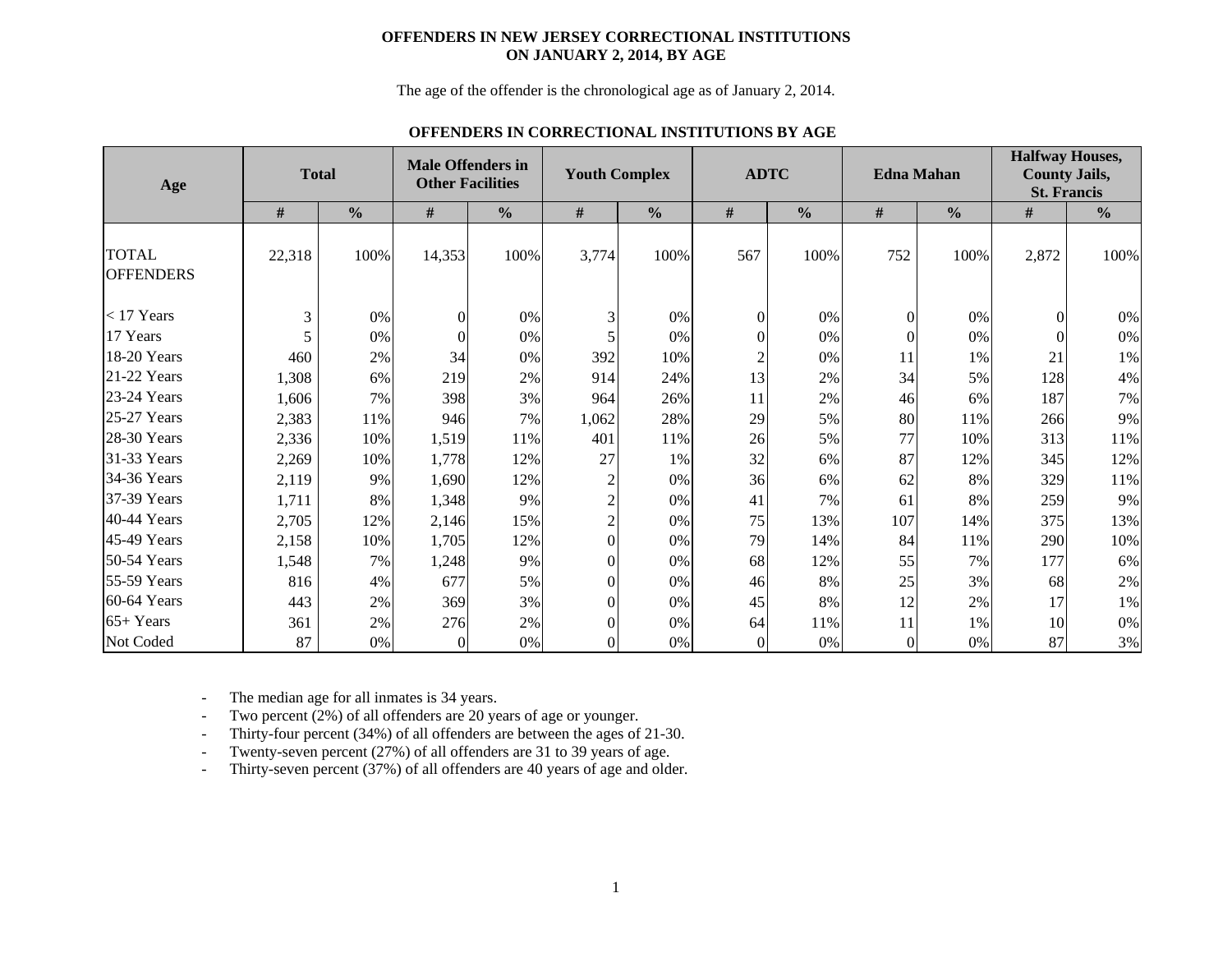### **OFFENDERS IN NEW JERSEY CORRECTIONAL INSTITUTIONS ON JANUARY 2, 2014, BY AGE**

The age of the offender is the chronological age as of January 2, 2014.

#### **OFFENDERS IN CORRECTIONAL INSTITUTIONS BY AGE**

| Age                              |        | <b>Total</b>  | <b>Male Offenders in</b><br><b>Other Facilities</b> |               |                | <b>Youth Complex</b> | <b>ADTC</b>    |               |                  | <b>Edna Mahan</b> | <b>Halfway Houses,</b><br><b>County Jails,</b><br><b>St. Francis</b> |               |  |  |
|----------------------------------|--------|---------------|-----------------------------------------------------|---------------|----------------|----------------------|----------------|---------------|------------------|-------------------|----------------------------------------------------------------------|---------------|--|--|
|                                  | #      | $\frac{0}{0}$ | #                                                   | $\frac{0}{0}$ | $\#$           | $\frac{0}{0}$        | #              | $\frac{0}{0}$ | #                | $\frac{0}{0}$     | #                                                                    | $\frac{0}{0}$ |  |  |
| <b>TOTAL</b><br><b>OFFENDERS</b> | 22,318 | 100%          | 14,353                                              | 100%          | 3,774          | 100%                 | 567            | 100%          | 752              | 100%              | 2,872                                                                | 100%          |  |  |
| $<$ 17 Years                     | 3      | 0%            | $\Omega$                                            | 0%            | 3              | 0%                   | $\Omega$       | 0%            | $\overline{0}$   | 0%                | $\Omega$                                                             | 0%            |  |  |
| 17 Years                         |        | 0%            | $\Omega$                                            | 0%            |                | 0%                   | $\Omega$       | 0%            | $\mathbf{0}$     | 0%                |                                                                      | 0%            |  |  |
| 18-20 Years                      | 460    | 2%            | 34                                                  | 0%            | 392            | 10%                  |                | 0%            | 11               | 1%                | 21                                                                   | $1\%$         |  |  |
| 21-22 Years                      | 1,308  | 6%            | 219                                                 | 2%            | 914            | 24%                  | 13             | 2%            | 34               | 5%                | 128                                                                  | 4%            |  |  |
| 23-24 Years                      | 1,606  | 7%            | 398                                                 | 3%            | 964            | 26%                  | 11             | 2%            | 46               | 6%                | 187                                                                  | 7%            |  |  |
| 25-27 Years                      | 2,383  | 11%           | 946                                                 | 7%            | 1,062          | 28%                  | 29             | 5%            | 80               | 11%               | 266                                                                  | 9%            |  |  |
| $28-30$ Years                    | 2,336  | 10%           | 1,519                                               | 11%           | 401            | 11%                  | 26             | 5%            | 77               | 10%               | 313                                                                  | 11%           |  |  |
| 31-33 Years                      | 2,269  | 10%           | 1,778                                               | 12%           | 27             | 1%                   | 32             | 6%            | 87               | 12%               | 345                                                                  | 12%           |  |  |
| 34-36 Years                      | 2,119  | 9%            | 1,690                                               | 12%           | 2              | 0%                   | 36             | 6%            | 62               | 8%                | 329                                                                  | 11%           |  |  |
| 37-39 Years                      | 1,711  | 8%            | 1,348                                               | 9%            | $\overline{c}$ | 0%                   | 41             | 7%            | 61               | 8%                | 259                                                                  | 9%            |  |  |
| 40-44 Years                      | 2,705  | 12%           | 2,146                                               | 15%           | $\overline{2}$ | 0%                   | 75             | 13%           | 107              | 14%               | 375                                                                  | 13%           |  |  |
| 45-49 Years                      | 2,158  | 10%           | 1,705                                               | 12%           | $\theta$       | 0%                   | 79             | 14%           | 84               | 11%               | 290                                                                  | 10%           |  |  |
| 50-54 Years                      | 1,548  | 7%            | 1,248                                               | 9%            | $\theta$       | 0%                   | 68             | 12%           | 55               | 7%                | 177                                                                  | 6%            |  |  |
| 55-59 Years                      | 816    | 4%            | 677                                                 | 5%            | $\theta$       | 0%                   | 46             | 8%            | 25               | 3%                | 68                                                                   | 2%            |  |  |
| 60-64 Years                      | 443    | 2%            | 369                                                 | 3%            | $\Omega$       | 0%                   | 45             | 8%            | 12               | 2%                | 17                                                                   | 1%            |  |  |
| $65+Years$                       | 361    | 2%            | 276                                                 | 2%            | $\Omega$       | 0%                   | 64             | 11%           | 11               | 1%                | 10                                                                   | 0%            |  |  |
| Not Coded                        | 87     | 0%            | $\Omega$                                            | 0%            | $\overline{0}$ | 0%                   | $\overline{0}$ | 0%            | $\boldsymbol{0}$ | 0%                | 87                                                                   | 3%            |  |  |

-The median age for all inmates is 34 years.

-Two percent (2%) of all offenders are 20 years of age or younger.

-Thirty-four percent (34%) of all offenders are between the ages of 21-30.

-Twenty-seven percent (27%) of all offenders are 31 to 39 years of age.

-Thirty-seven percent (37%) of all offenders are 40 years of age and older.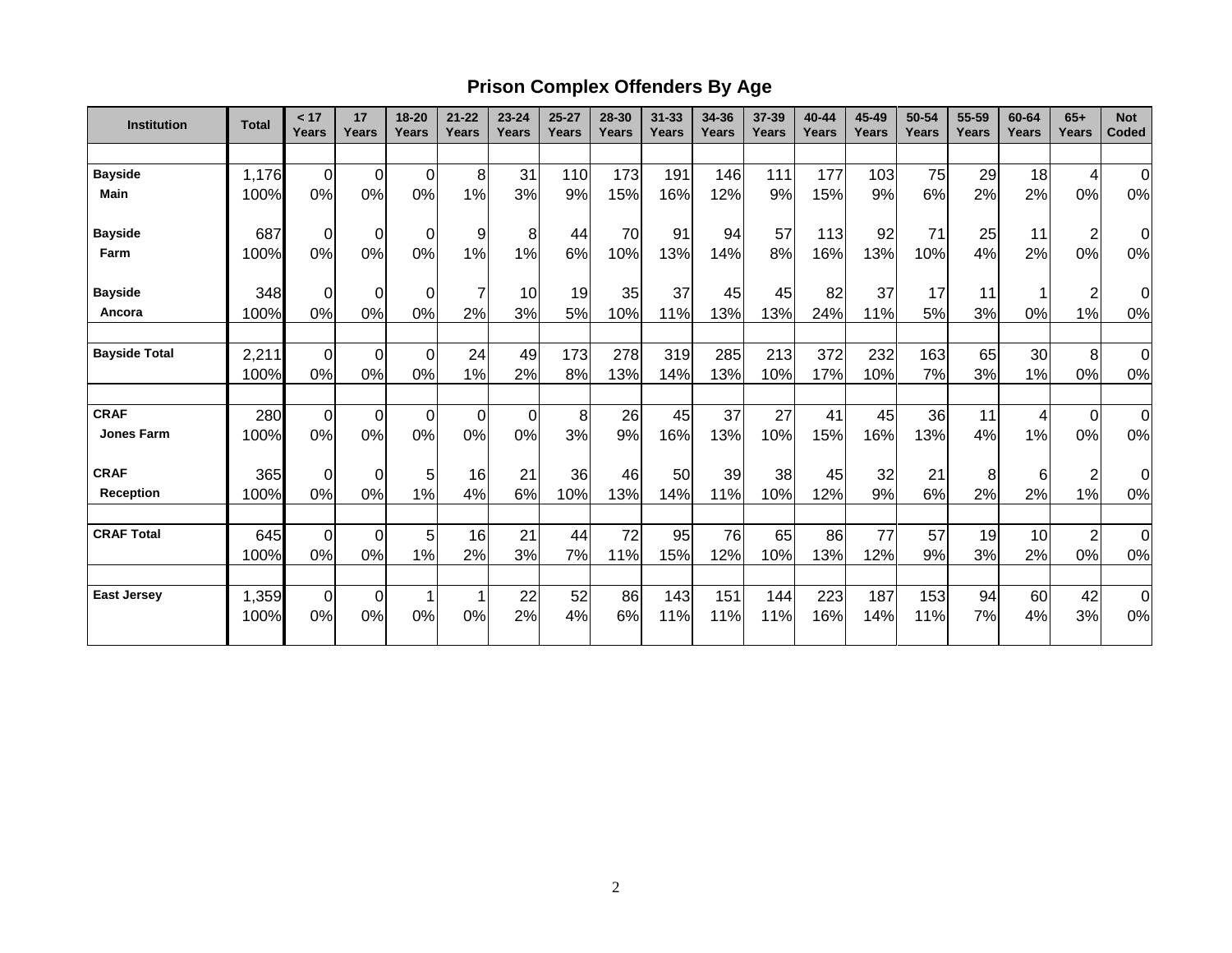# **Prison Complex Offenders By Age**

| <b>Institution</b>   | <b>Total</b> | < 17<br>Years  | 17<br>Years | 18-20<br>Years | $21 - 22$<br>Years | $23 - 24$<br>Years | $25 - 27$<br>Years | 28-30<br>Years | $31 - 33$<br>Years | 34-36<br>Years | 37-39<br>Years | 40-44<br>Years | 45-49<br>Years | 50-54<br>Years | 55-59<br>Years | 60-64<br><b>Years</b> | $65+$<br>Years          | <b>Not</b><br>Coded |
|----------------------|--------------|----------------|-------------|----------------|--------------------|--------------------|--------------------|----------------|--------------------|----------------|----------------|----------------|----------------|----------------|----------------|-----------------------|-------------------------|---------------------|
|                      |              |                |             |                |                    |                    |                    |                |                    |                |                |                |                |                |                |                       |                         |                     |
| <b>Bayside</b>       | 1,176        | $\overline{0}$ | $\mathbf 0$ | 0              | 8                  | 31                 | 110                | 173            | 191                | 146            | 111            | 177            | 103            | 75             | 29             | 18                    | $\overline{4}$          | $\mathbf 0$         |
| <b>Main</b>          | 100%         | $0\%$          | 0%          | 0%             | 1%                 | 3%                 | 9%                 | 15%            | 16%                | 12%            | 9%             | 15%            | 9%             | 6%             | 2%             | 2%                    | 0%                      | $0\%$               |
| <b>Bayside</b>       | 687          | 0              | $\mathbf 0$ | 0              | 9                  | 8                  | 44                 | 70             | 91                 | 94             | 57             | 113            | 92             | 71             | 25             | 11                    | $\overline{\mathbf{c}}$ | $\Omega$            |
| Farm                 | 100%         | $0\%$          | 0%          | 0%             | 1%                 | 1%                 | 6%                 | 10%            | 13%                | 14%            | 8%             | 16%            | 13%            | 10%            | 4%             | 2%                    | 0%                      | $0\%$               |
| <b>Bayside</b>       | 348          | $\Omega$       | $\mathbf 0$ | 0              | 7                  | 10                 | 19                 | 35             | 37                 | 45             | 45             | 82             | 37             | 17             | 11             |                       | $\overline{\mathbf{c}}$ | 0                   |
| Ancora               | 100%         | $0\%$          | 0%          | 0%             | 2%                 | 3%                 | 5%                 | 10%            | 11%                | 13%            | 13%            | 24%            | 11%            | 5%             | 3%             | 0%                    | 1%                      | 0%                  |
| <b>Bayside Total</b> | 2,211        | $\Omega$       | $\mathbf 0$ | $\mathbf 0$    | 24                 | 49                 | 173                | 278            | 319                | 285            | 213            | 372            | 232            | 163            | 65             | 30                    | 8                       | $\mathbf 0$         |
|                      | 100%         | $0\%$          | 0%          | 0%             | 1%                 | 2%                 | 8%                 | 13%            | 14%                | 13%            | 10%            | 17%            | 10%            | 7%             | 3%             | 1%                    | 0%                      | 0%                  |
| <b>CRAF</b>          | 280          | $\mathbf 0$    | $\mathbf 0$ | 0              | $\mathbf 0$        | $\mathbf 0$        | 8                  | 26             | 45                 | 37             | 27             | 41             | 45             | 36             | 11             | 4                     | $\mathbf 0$             | $\mathbf 0$         |
| <b>Jones Farm</b>    | 100%         | $0\%$          | 0%          | 0%             | 0%                 | 0%                 | 3%                 | 9%             | 16%                | 13%            | 10%            | 15%            | 16%            | 13%            | 4%             | 1%                    | 0%                      | 0%                  |
| <b>CRAF</b>          | 365          | 0              | 0           | 5              | 16                 | 21                 | 36                 | 46             | 50                 | 39             | 38             | 45             | 32             | 21             | 8              | 6                     | $\overline{\mathbf{c}}$ | 0                   |
| <b>Reception</b>     | 100%         | $0\%$          | 0%          | 1%             | 4%                 | 6%                 | 10%                | 13%            | 14%                | 11%            | 10%            | 12%            | 9%             | 6%             | 2%             | 2%                    | 1%                      | 0%                  |
| <b>CRAF Total</b>    | 645          | $\overline{0}$ | $\mathbf 0$ | 5              | 16                 | 21                 | 44                 | 72             | 95                 | 76             | 65             | 86             | 77             | 57             | 19             | 10                    | $\overline{\mathbf{c}}$ | $\mathbf 0$         |
|                      | 100%         | $0\%$          | 0%          | 1%             | 2%                 | 3%                 | 7%                 | 11%            | 15%                | 12%            | 10%            | 13%            | 12%            | 9%             | 3%             | 2%                    | 0%                      | 0%                  |
| <b>East Jersey</b>   | 1,359        | $\overline{0}$ | $\mathbf 0$ | 1              |                    | 22                 | 52                 | 86             | 143                | 151            | 144            | 223            | 187            | 153            | 94             | 60                    | 42                      | $\mathbf 0$         |
|                      | 100%         | 0%             | 0%          | 0%             | 0%                 | 2%                 | 4%                 | 6%             | 11%                | 11%            | 11%            | 16%            | 14%            | 11%            | 7%             | 4%                    | 3%                      | 0%                  |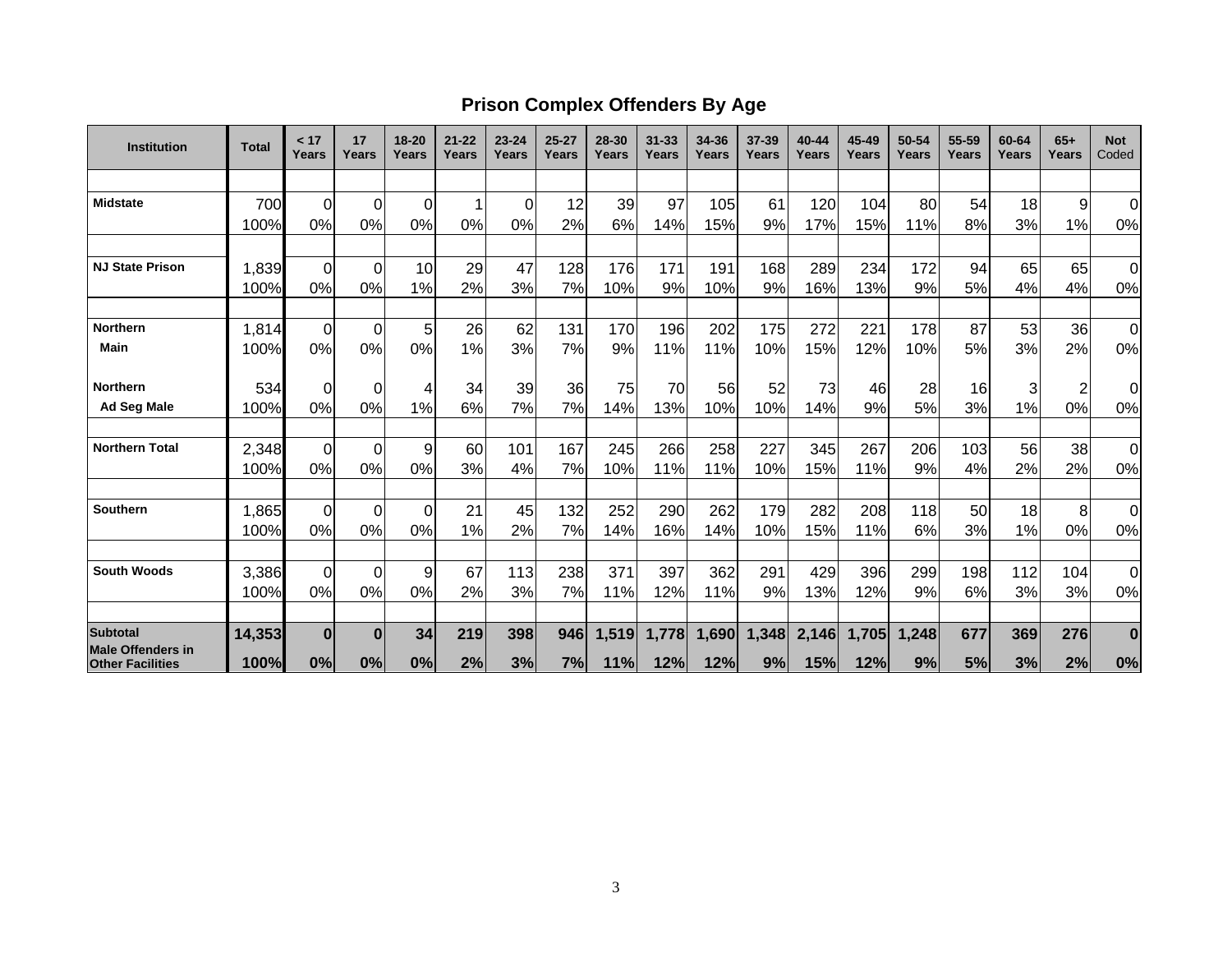## **Prison Complex Offenders By Age**

| <b>Institution</b>       | <b>Total</b> | < 17<br>Years | 17<br>Years    | $18 - 20$<br>Years | $21 - 22$<br>Years | $23 - 24$<br>Years | $25 - 27$<br>Years | 28-30<br><b>Years</b> | $31 - 33$<br><b>Years</b> | 34-36<br>Years | 37-39<br>Years | 40-44<br>Years | 45-49<br>Years | 50-54<br>Years | 55-59<br>Years | 60-64<br>Years | $65+$<br>Years | <b>Not</b><br>Coded |
|--------------------------|--------------|---------------|----------------|--------------------|--------------------|--------------------|--------------------|-----------------------|---------------------------|----------------|----------------|----------------|----------------|----------------|----------------|----------------|----------------|---------------------|
|                          |              |               |                |                    |                    |                    |                    |                       |                           |                |                |                |                |                |                |                |                |                     |
| <b>Midstate</b>          | 700          | 0             | $\mathbf 0$    | $\Omega$           |                    | $\Omega$           | 12                 | 39                    | 97                        | 105            | 61             | 120            | 104            | 80             | 54             | 18             | 9              | $\overline{0}$      |
|                          | 100%         | 0%            | 0%             | 0%                 | 0%                 | 0%                 | 2%                 | 6%                    | 14%                       | 15%            | 9%             | 17%            | 15%            | 11%            | 8%             | 3%             | 1%             | 0%                  |
|                          |              |               |                |                    |                    |                    |                    |                       |                           |                |                |                |                |                |                |                |                |                     |
| <b>NJ State Prison</b>   | 1,839        | 0             | $\overline{0}$ | 10                 | 29                 | 47                 | 128                | 176                   | 171                       | 191            | 168            | 289            | 234            | 172            | 94             | 65             | 65             | $\overline{0}$      |
|                          | 100%         | 0%            | 0%             | 1%                 | 2%                 | 3%                 | 7%                 | 10%                   | 9%                        | 10%            | 9%             | 16%            | 13%            | 9%             | 5%             | 4%             | 4%             | 0%                  |
| <b>Northern</b>          | 1,814        | $\Omega$      | $\overline{0}$ | 5 <sup>5</sup>     | 26                 | 62                 | 131                | 170                   | 196                       | 202            | 175            | 272            | 221            | 178            | 87             | 53             | 36             | $\overline{0}$      |
| Main                     | 100%         | 0%            | 0%             | 0%                 | 1%                 | 3%                 | 7%                 | 9%                    | 11%                       | 11%            | 10%            | 15%            | 12%            | 10%            | 5%             | 3%             | 2%             | 0%                  |
| <b>Northern</b>          | 534          | 0             | $\overline{0}$ | 4                  | 34                 | 39                 | 36                 | 75                    | 70                        | 56             | 52             | 73             | 46             | 28             | 16             | 3              | $\overline{2}$ | $\overline{0}$      |
| <b>Ad Seg Male</b>       | 100%         | 0%            | 0%             | 1%                 | 6%                 | 7%                 | 7%                 | 14%                   | 13%                       | 10%            | 10%            | 14%            | 9%             | 5%             | 3%             | 1%             | 0%             | 0%                  |
| <b>Northern Total</b>    | 2,348        | 0             | $\overline{0}$ | 9                  | 60                 | 101                | 167                | 245                   | 266                       | 258            | 227            | 345            | 267            | 206            | 103            | 56             | 38             | $\overline{0}$      |
|                          | 100%         | 0%            | 0%             | 0%                 | 3%                 | 4%                 | 7%                 | 10%                   | 11%                       | 11%            | 10%            | 15%            | 11%            | 9%             | 4%             | 2%             | 2%             | $0\%$               |
|                          |              |               |                |                    |                    |                    |                    |                       |                           |                |                |                |                |                |                |                |                |                     |
| <b>Southern</b>          | 1,865        | 0             | $\Omega$       | $\Omega$           | 21                 | 45                 | 132                | 252                   | 290                       | 262            | 179            | 282            | 208            | 118            | 50             | 18             | 8              | $\Omega$            |
|                          | 100%         | 0%            | 0%             | 0%                 | 1%                 | 2%                 | 7%                 | 14%                   | 16%                       | 14%            | 10%            | 15%            | 11%            | 6%             | 3%             | 1%             | 0%             | 0%                  |
| <b>South Woods</b>       | 3,386        | 0             | $\overline{0}$ | 9                  | 67                 | 113                | 238                | 371                   | 397                       | 362            | 291            | 429            | 396            | 299            | 198            | 112            | 104            | $\overline{0}$      |
|                          | 100%         | 0%            | 0%             | 0%                 | 2%                 | 3%                 | 7%                 | 11%                   | 12%                       | 11%            | 9%             | 13%            | 12%            | 9%             | 6%             | 3%             | 3%             | $0\%$               |
| Subtotal                 |              | $\bf{0}$      | $\bf{0}$       | 34                 |                    |                    |                    |                       |                           |                |                |                |                |                | 677            | 369            |                |                     |
| <b>Male Offenders in</b> | 14,353       |               |                |                    | 219                | 398                | 946                | 1,519                 | 1,778                     | 1,690          | 1,348          | 2,146          | 1,705          | 1,248          |                |                | 276            | $\bf{0}$            |
| <b>Other Facilities</b>  | 100%         | 0%            | 0%             | 0%                 | 2%                 | 3%                 | 7%                 | 11%                   | 12%                       | 12%            | 9%             | 15%            | 12%            | 9%             | 5%             | 3%             | 2%             | 0%                  |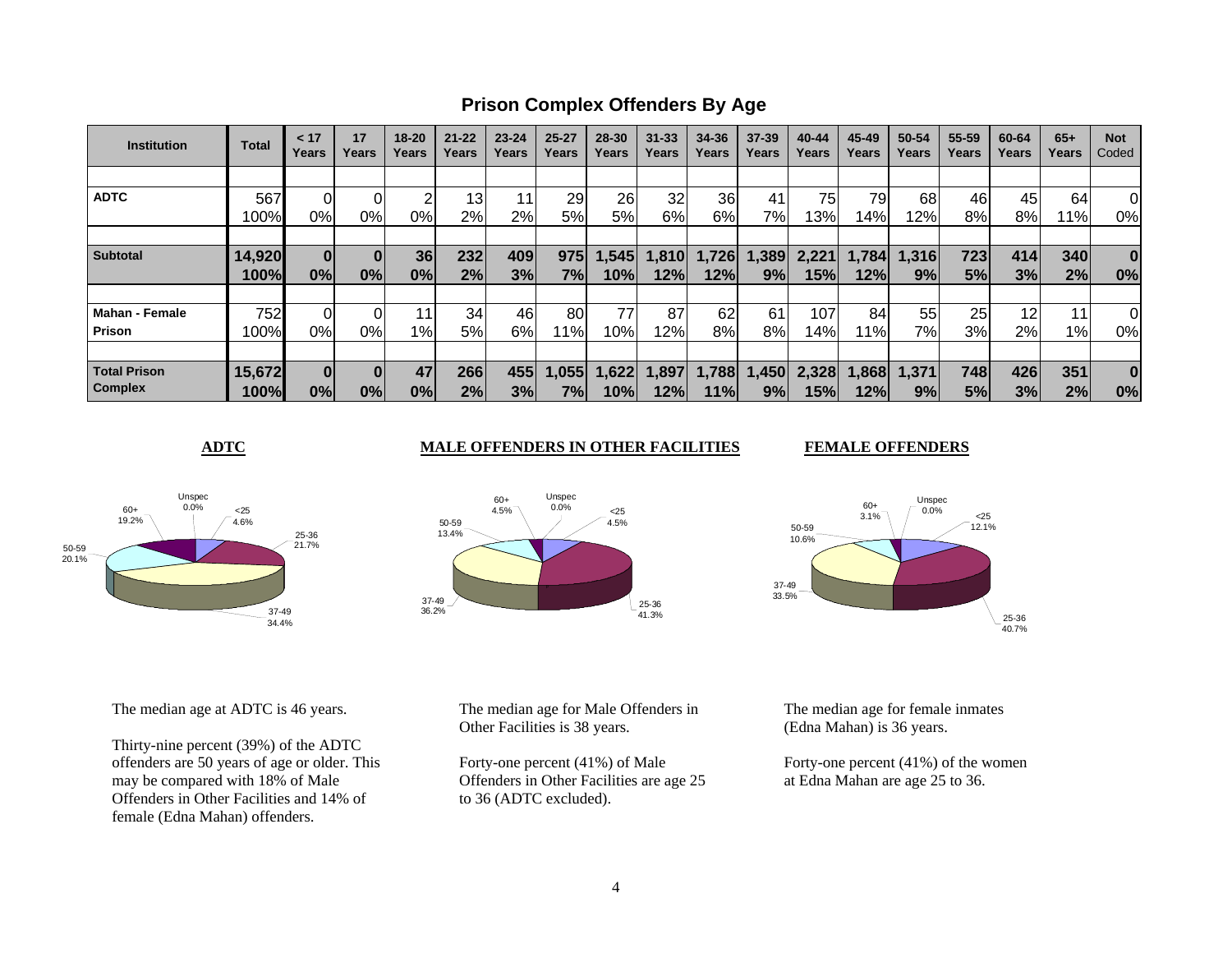**Prison Complex Offenders By Age**

| <b>Institution</b>    | <b>Total</b> | < 17<br>Years | 17<br>Years | $18 - 20$<br>Years | $21 - 22$<br>Years | $23 - 24$<br>Years | $25 - 27$<br>Years | 28-30<br>Years | $31 - 33$<br>Years | 34-36<br>Years | $37 - 39$<br>Years | 40-44<br>Years | 45-49<br>Years | 50-54<br>Years | 55-59<br>Years | 60-64<br>Years | $65+$<br>Years | <b>Not</b><br>Coded |
|-----------------------|--------------|---------------|-------------|--------------------|--------------------|--------------------|--------------------|----------------|--------------------|----------------|--------------------|----------------|----------------|----------------|----------------|----------------|----------------|---------------------|
|                       |              |               |             |                    |                    |                    |                    |                |                    |                |                    |                |                |                |                |                |                |                     |
| <b>ADTC</b>           | 567          |               |             |                    | 13                 | 11                 | 29                 | 26             | 32                 | 36             | 41                 | 75             | 79             | 68             | 46             | 45             | 64             | 0                   |
|                       | 100%         | 0%            | 0%          | 0%                 | 2%                 | 2%                 | 5%                 | 5%             | 6%                 | 6%             | 7%                 | 13%            | 14%            | 12%            | 8%             | 8%             | 11%            | 0%                  |
|                       |              |               |             |                    |                    |                    |                    |                |                    |                |                    |                |                |                |                |                |                |                     |
| <b>Subtotal</b>       | 14,920       | 0             | $\bf{0}$    | 36                 | 232                | 409                | 975                | , 545          | 1,810              | 1,726          | ,389               | 2,221          | 1,784          | 1,316          | 723            | 414            | 340            | $\bf{0}$            |
|                       | 100%         | 0%            | 0%          | 0%                 | 2%                 | 3%                 | 7%                 | 10%            | 12%                | 12%            | 9%                 | 15%            | 12%            | 9%             | 5%             | 3%             | 2%             | 0%                  |
|                       |              |               |             |                    |                    |                    |                    |                |                    |                |                    |                |                |                |                |                |                |                     |
| <b>Mahan - Female</b> | 752          |               | ΩI          | 11                 | 34                 | 46                 | 80                 | 77             | 87                 | 62             | 61                 | 107            | 84             | 55             | 25             | 12             | 11             | 0                   |
| Prison                | 100%         | 0%            | 0%          | $1\%$              | 5%                 | 6%                 | 11%                | 10%            | 12%                | 8%             | 8%                 | 14%            | 11%            | 7%             | 3%             | 2%             | $1\%$          | 0%                  |
|                       |              |               |             |                    |                    |                    |                    |                |                    |                |                    |                |                |                |                |                |                |                     |
| <b>Total Prison</b>   | 15,672       | 0             |             | 47                 | 266                | 455                | 1,055              | ,622           | 1,897              | 1,788          | ,450               | 2,328          | 868            | 1,371          | 748            | 426            | 351            | $\bf{0}$            |
| <b>Complex</b>        | 100%         | 0%            | 0%          | 0%                 | 2%                 | 3%                 | 7%                 | 10%            | 12%                | 11%            | 9%                 | 15%l           | 12%            | 9%             | 5%             | 3%             | 2%             | 0%                  |

**ADTC** MALE OFFENDERS IN OTHER FACILITIES

<25 4.6%

Unspec 0.0%

50-5920.1%

60+ 19.2%



Unspec 0.0%





The median age at ADTC is 46 years.

Thirty-nine percent (39%) of the ADTC offenders are 50 years of age or older. This may be compared with 18% of Male Offenders in Other Facilities and 14% of female (Edna Mahan) offenders.

37-4934.4%

25-3621.7%

> 37-49 36.2%

50-5913.4% 60+4.5%

The median age for Male Offenders in Other Facilities is 38 years.

Forty-one percent (41%) of Male Offenders in Other Facilities are age 25 to 36 (ADTC excluded).

The median age for female inmates (Edna Mahan) is 36 years.

Forty-one percent (41%) of the women at Edna Mahan are age 25 to 36.

25-3641.3%

 <254.5%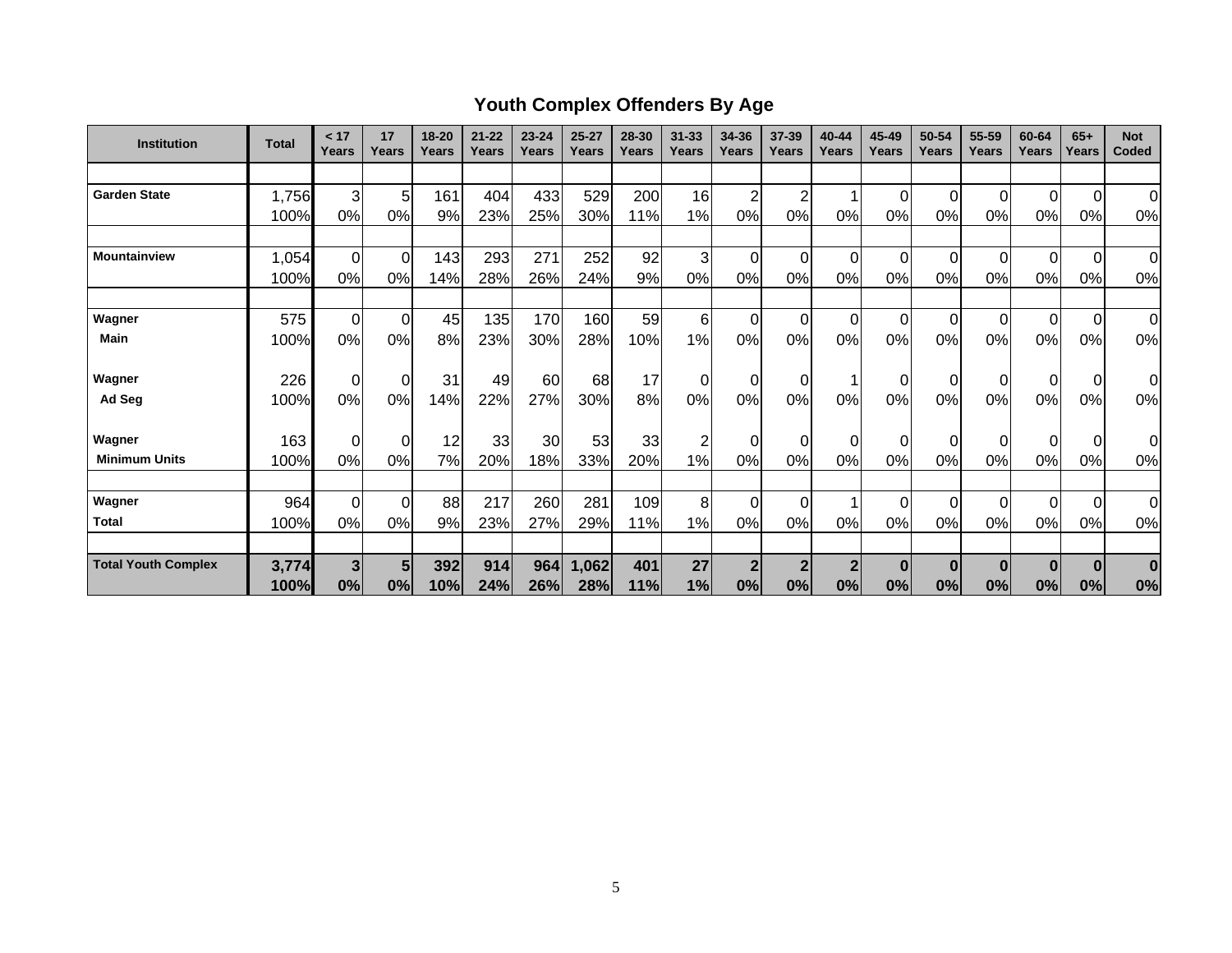# **Youth Complex Offenders By Age**

| <b>Institution</b>         | <b>Total</b> | < 17<br>Years | 17<br>Years    | 18-20<br>Years | $21 - 22$<br>Years | $23 - 24$<br>Years | $25 - 27$<br>Years | 28-30<br>Years | $31 - 33$<br>Years | 34-36<br>Years | 37-39<br>Years | 40-44<br>Years | 45-49<br>Years | 50-54<br><b>Years</b> | 55-59<br>Years | 60-64<br>Years | $65+$<br>Years | <b>Not</b><br>Coded |
|----------------------------|--------------|---------------|----------------|----------------|--------------------|--------------------|--------------------|----------------|--------------------|----------------|----------------|----------------|----------------|-----------------------|----------------|----------------|----------------|---------------------|
|                            |              |               |                |                |                    |                    |                    |                |                    |                |                |                |                |                       |                |                |                |                     |
| <b>Garden State</b>        | 1,756        | 3             | 5              | 161            | 404                | 433                | 529                | 200            | 16                 | $\overline{2}$ | 2              |                | $\Omega$       | $\pmb{0}$             | 0              | $\Omega$       | $\mathbf 0$    | $\Omega$            |
|                            | 100%         | 0%            | 0%             | 9%             | 23%                | 25%                | 30%                | 11%            | 1%                 | 0%             | 0%             | 0%             | 0%             | 0%                    | 0%             | 0%             | 0%             | 0%                  |
|                            |              |               |                |                |                    |                    |                    |                |                    |                |                |                |                |                       |                |                |                |                     |
| <b>Mountainview</b>        | 1,054        | $\mathbf 0$   | $\Omega$       | 143            | 293                | 271                | 252                | 92             | 3                  | $\mathbf 0$    | $\Omega$       | $\Omega$       | $\Omega$       | 0                     | $\Omega$       | $\Omega$       | $\mathbf 0$    | $\Omega$            |
|                            | 100%         | 0%            | 0%             | 14%            | 28%                | 26%                | 24%                | 9%             | 0%                 | 0%             | 0%             | 0%             | 0%             | 0%                    | 0%             | 0%             | 0%             | 0%                  |
|                            |              |               |                |                |                    |                    |                    |                |                    |                |                |                |                |                       |                |                |                |                     |
| Wagner                     | 575          | $\mathbf 0$   | $\overline{0}$ | 45             | 135                | 170                | 160                | 59             | 6                  | $\mathbf 0$    | $\Omega$       | $\Omega$       | $\Omega$       | 0                     | $\Omega$       | $\Omega$       | $\overline{0}$ | 0                   |
| Main                       | 100%         | 0%            | 0%             | 8%             | 23%                | 30%                | 28%                | 10%            | 1%                 | 0%             | 0%             | 0%             | 0%             | 0%                    | 0%             | 0%             | 0%             | 0%                  |
|                            |              |               |                |                |                    |                    |                    |                |                    |                |                |                |                |                       |                |                |                |                     |
| Wagner                     | 226          | $\mathbf 0$   | $\overline{0}$ | 31             | 49                 | 60                 | 68                 | 17             | 0                  | $\overline{0}$ | 0              |                | 0              | 0                     |                | 0              | $\overline{0}$ | 0l                  |
| Ad Seg                     | 100%         | 0%            | 0%             | 14%            | 22%                | 27%                | 30%                | 8%             | 0%                 | 0%             | 0%             | 0%             | 0%             | 0%                    | 0%             | 0%             | 0%             | 0%                  |
| Wagner                     | 163          | $\mathbf 0$   | $\overline{0}$ | 12             | 33                 | 30                 | 53                 | 33             | $\overline{c}$     | $\mathbf 0$    | $\Omega$       | 0              | $\Omega$       | 0                     |                | $\Omega$       | $\overline{0}$ | $\overline{0}$      |
| <b>Minimum Units</b>       | 100%         | 0%            | 0%             | 7%             | 20%                | 18%                | 33%                | 20%            | 1%                 | 0%             | 0%             | 0%             | 0%             | 0%                    | 0%             | 0%             | 0%             | 0%                  |
|                            |              |               |                |                |                    |                    |                    |                |                    |                |                |                |                |                       |                |                |                |                     |
| Wagner                     | 964          | $\mathbf 0$   | $\overline{0}$ | 88             | 217                | 260                | 281                | 109            | 8                  | $\mathbf 0$    | $\Omega$       |                | $\Omega$       | 0                     | $\Omega$       | $\Omega$       | $\overline{0}$ | $\overline{0}$      |
| <b>Total</b>               | 100%         | 0%            | 0%             | 9%             | 23%                | 27%                | 29%                | 11%            | 1%                 | 0%             | 0%             | 0%             | 0%             | 0%                    | 0%             | 0%             | 0%             | 0%                  |
|                            |              |               |                |                |                    |                    |                    |                |                    |                |                |                |                |                       |                |                |                |                     |
| <b>Total Youth Complex</b> | 3,774        | 3             | 5              | 392            | 914                | 964                | 1,062              | 401            | 27                 | $\overline{2}$ | $\mathbf{2}$   | $\mathbf{2}$   | $\bf{0}$       | $\bf{0}$              | $\bf{0}$       | $\bf{0}$       | $\bf{0}$       | $\bf{0}$            |
|                            | 100%         | 0%            | 0%             | 10%            | 24%                | 26%                | 28%                | 11%            | 1%                 | 0%             | 0%             | 0%             | 0%             | 0%                    | 0%             | 0%             | 0%             | 0%                  |